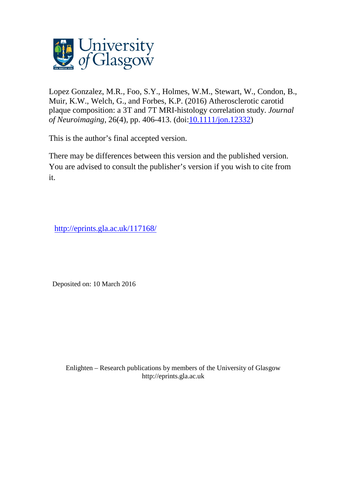

Lopez Gonzalez, M.R., Foo, S.Y., Holmes, W.M., Stewart, W., Condon, B., Muir, K.W., Welch, G., and Forbes, K.P. (2016) Atherosclerotic carotid plaque composition: a 3T and 7T MRI-histology correlation study. *Journal of Neuroimaging*, 26(4), pp. 406-413. (doi[:10.1111/jon.12332\)](http://dx.doi.org/10.1111/jon.12332)

This is the author's final accepted version.

There may be differences between this version and the published version. You are advised to consult the publisher's version if you wish to cite from it.

<http://eprints.gla.ac.uk/117168/>

Deposited on: 10 March 2016

Enlighten – Research publications by members of the University of Glasgo[w](http://eprints.gla.ac.uk/) [http://eprints.gla.ac.uk](http://eprints.gla.ac.uk/)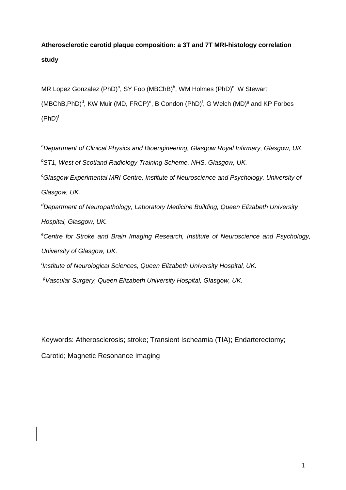# **Atherosclerotic carotid plaque composition: a 3T and 7T MRI-histology correlation study**

MR Lopez Gonzalez (PhD)<sup>a</sup>, SY Foo (MBChB)<sup>b</sup>, WM Holmes (PhD)<sup>c</sup>, W Stewart  $(MBChB, PhD)^d$ , KW Muir (MD, FRCP)<sup>e</sup>, B Condon (PhD)<sup>f</sup>, G Welch (MD)<sup>g</sup> and KP Forbes  $(PhD)^f$ 

<sup>a</sup>Department of Clinical Physics and Bioengineering, Glasgow Royal Infirmary, Glasgow, UK.  $b$ ST1, West of Scotland Radiology Training Scheme, NHS, Glasgow, UK.  $c<sup>c</sup>G$ lasgow Experimental MRI Centre, Institute of Neuroscience and Psychology, University of Glasgow, UK.  $\sigma$ Department of Neuropathology, Laboratory Medicine Building, Queen Elizabeth University Hospital, Glasgow, UK. <sup>e</sup>Centre for Stroke and Brain Imaging Research, Institute of Neuroscience and Psychology, University of Glasgow, UK. <sup>f</sup>Institute of Neurological Sciences, Queen Elizabeth University Hospital, UK. <sup>g</sup>Vascular Surgery, Queen Elizabeth University Hospital, Glasgow, UK.

Keywords: Atherosclerosis; stroke; Transient Ischeamia (TIA); Endarterectomy;

Carotid; Magnetic Resonance Imaging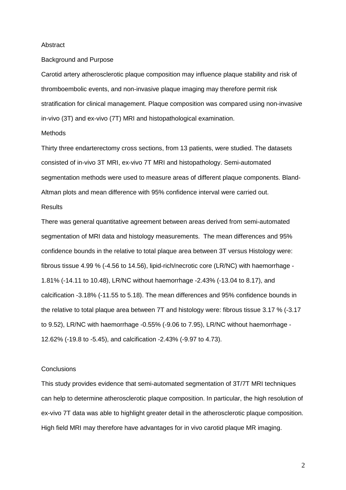#### Abstract

#### Background and Purpose

Carotid artery atherosclerotic plaque composition may influence plaque stability and risk of thromboembolic events, and non-invasive plaque imaging may therefore permit risk stratification for clinical management. Plaque composition was compared using non-invasive in-vivo (3T) and ex-vivo (7T) MRI and histopathological examination.

#### Methods

Thirty three endarterectomy cross sections, from 13 patients, were studied. The datasets consisted of in-vivo 3T MRI, ex-vivo 7T MRI and histopathology. Semi-automated segmentation methods were used to measure areas of different plaque components. Bland-Altman plots and mean difference with 95% confidence interval were carried out.

# **Results**

There was general quantitative agreement between areas derived from semi-automated segmentation of MRI data and histology measurements. The mean differences and 95% confidence bounds in the relative to total plaque area between 3T versus Histology were: fibrous tissue 4.99 % (-4.56 to 14.56), lipid-rich/necrotic core (LR/NC) with haemorrhage - 1.81% (-14.11 to 10.48), LR/NC without haemorrhage -2.43% (-13.04 to 8.17), and calcification -3.18% (-11.55 to 5.18). The mean differences and 95% confidence bounds in the relative to total plaque area between 7T and histology were: fibrous tissue 3.17 % (-3.17 to 9.52), LR/NC with haemorrhage -0.55% (-9.06 to 7.95), LR/NC without haemorrhage - 12.62% (-19.8 to -5.45), and calcification -2.43% (-9.97 to 4.73).

#### **Conclusions**

This study provides evidence that semi-automated segmentation of 3T/7T MRI techniques can help to determine atherosclerotic plaque composition. In particular, the high resolution of ex-vivo 7T data was able to highlight greater detail in the atherosclerotic plaque composition. High field MRI may therefore have advantages for in vivo carotid plaque MR imaging.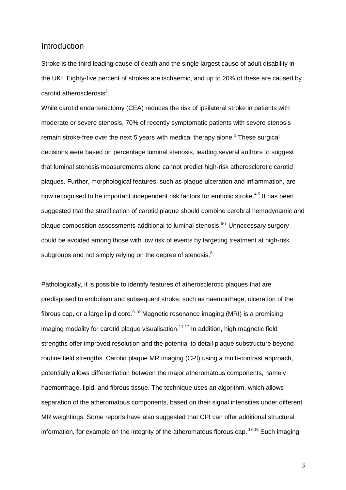# Introduction

Stroke is the third leading cause of death and the single largest cause of adult disability in the UK<sup>1</sup>. Eighty-five percent of strokes are ischaemic, and up to 20% of these are caused by carotid atherosclerosis $^2$ .

While carotid endarterectomy (CEA) reduces the risk of ipsilateral stroke in patients with moderate or severe stenosis, 70% of recently symptomatic patients with severe stenosis remain stroke-free over the next 5 years with medical therapy alone.<sup>3</sup> These surgical decisions were based on percentage luminal stenosis, leading several authors to suggest that luminal stenosis measurements alone cannot predict high-risk atherosclerotic carotid plaques. Further, morphological features, such as plaque ulceration and inflammation, are now recognised to be important independent risk factors for embolic stroke.<sup>4-5</sup> It has been suggested that the stratification of carotid plaque should combine cerebral hemodynamic and plaque composition assessments additional to luminal stenosis.<sup>6-7</sup> Unnecessary surgery could be avoided among those with low risk of events by targeting treatment at high-risk subgroups and not simply relying on the degree of stenosis. $8$ 

Pathologically, it is possible to identify features of atherosclerotic plaques that are predisposed to embolism and subsequent stroke, such as haemorrhage, ulceration of the fibrous cap, or a large lipid core. $9-10$  Magnetic resonance imaging (MRI) is a promising imaging modality for carotid plaque visualisation.<sup>11-17</sup> In addition, high magnetic field strengths offer improved resolution and the potential to detail plaque substructure beyond routine field strengths. Carotid plaque MR imaging (CPI) using a multi-contrast approach, potentially allows differentiation between the major atheromatous components, namely haemorrhage, lipid, and fibrous tissue. The technique uses an algorithm, which allows separation of the atheromatous components, based on their signal intensities under different MR weightings. Some reports have also suggested that CPI can offer additional structural information, for example on the integrity of the atheromatous fibrous cap.  $13-15$  Such imaging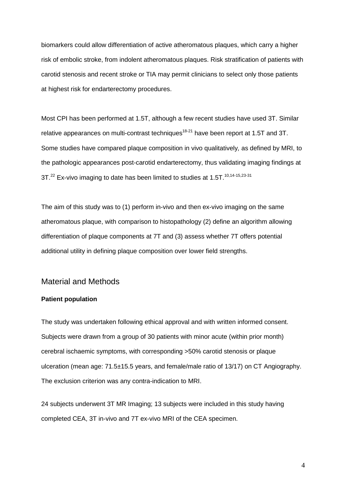biomarkers could allow differentiation of active atheromatous plaques, which carry a higher risk of embolic stroke, from indolent atheromatous plaques. Risk stratification of patients with carotid stenosis and recent stroke or TIA may permit clinicians to select only those patients at highest risk for endarterectomy procedures.

Most CPI has been performed at 1.5T, although a few recent studies have used 3T. Similar relative appearances on multi-contrast techniques<sup>18-21</sup> have been report at 1.5T and 3T. Some studies have compared plaque composition in vivo qualitatively, as defined by MRI, to the pathologic appearances post-carotid endarterectomy, thus validating imaging findings at 3T.<sup>22</sup> Ex-vivo imaging to date has been limited to studies at 1.5T.<sup>10,14-15,23-31</sup>

The aim of this study was to (1) perform in-vivo and then ex-vivo imaging on the same atheromatous plaque, with comparison to histopathology (2) define an algorithm allowing differentiation of plaque components at 7T and (3) assess whether 7T offers potential additional utility in defining plaque composition over lower field strengths.

### Material and Methods

#### **Patient population**

The study was undertaken following ethical approval and with written informed consent. Subjects were drawn from a group of 30 patients with minor acute (within prior month) cerebral ischaemic symptoms, with corresponding >50% carotid stenosis or plaque ulceration (mean age: 71.5±15.5 years, and female/male ratio of 13/17) on CT Angiography. The exclusion criterion was any contra-indication to MRI.

24 subjects underwent 3T MR Imaging; 13 subjects were included in this study having completed CEA, 3T in-vivo and 7T ex-vivo MRI of the CEA specimen.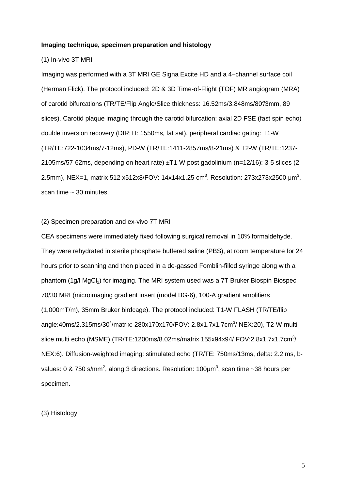#### **Imaging technique, specimen preparation and histology**

#### (1) In-vivo 3T MRI

Imaging was performed with a 3T MRI GE Signa Excite HD and a 4–channel surface coil (Herman Flick). The protocol included: 2D & 3D Time-of-Flight (TOF) MR angiogram (MRA) of carotid bifurcations (TR/TE/Flip Angle/Slice thickness: 16.52ms/3.848ms/80°/3mm, 89 slices). Carotid plaque imaging through the carotid bifurcation: axial 2D FSE (fast spin echo) double inversion recovery (DIR;TI: 1550ms, fat sat), peripheral cardiac gating: T1-W (TR/TE:722-1034ms/7-12ms), PD-W (TR/TE:1411-2857ms/8-21ms) & T2-W (TR/TE:1237- 2105ms/57-62ms, depending on heart rate) ±T1-W post gadolinium (n=12/16): 3-5 slices (2- 2.5mm), NEX=1, matrix 512 x512x8/FOV: 14x14x1.25 cm<sup>3</sup>. Resolution: 273x273x2500  $\mu$ m<sup>3</sup>, scan time  $\sim$  30 minutes.

#### (2) Specimen preparation and ex-vivo 7T MRI

CEA specimens were immediately fixed following surgical removal in 10% formaldehyde. They were rehydrated in sterile phosphate buffered saline (PBS), at room temperature for 24 hours prior to scanning and then placed in a de-gassed Fomblin-filled syringe along with a phantom (1g/l MgCl<sub>2</sub>) for imaging. The MRI system used was a 7T Bruker Biospin Biospec 70/30 MRI (microimaging gradient insert (model BG-6), 100-A gradient amplifiers (1,000mT/m), 35mm Bruker birdcage). The protocol included: T1-W FLASH (TR/TE/flip angle:40ms/2.315ms/30°/matrix: 280x170x170/FOV: 2.8x1.7x1.7cm<sup>3</sup>/ NEX:20), T2-W multi slice multi echo (MSME) (TR/TE:1200ms/8.02ms/matrix 155x94x94/ FOV:2.8x1.7x1.7cm<sup>3</sup>/ NEX:6). Diffusion-weighted imaging: stimulated echo (TR/TE: 750ms/13ms, delta: 2.2 ms, bvalues: 0 & 750 s/mm<sup>2</sup>, along 3 directions. Resolution: 100µm<sup>3</sup>, scan time ~38 hours per specimen.

#### (3) Histology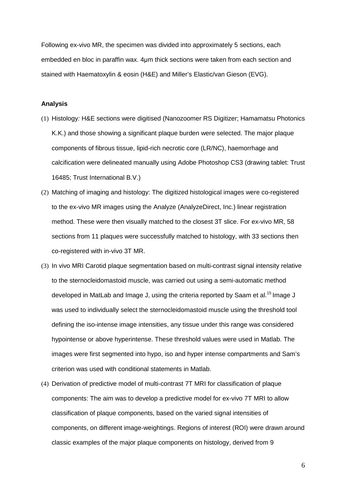Following ex-vivo MR, the specimen was divided into approximately 5 sections, each embedded en bloc in paraffin wax. 4µm thick sections were taken from each section and stained with Haematoxylin & eosin (H&E) and Miller's Elastic/van Gieson (EVG).

#### **Analysis**

- (1) Histology: H&E sections were digitised (Nanozoomer RS Digitizer; Hamamatsu Photonics K.K.) and those showing a significant plaque burden were selected. The major plaque components of fibrous tissue, lipid-rich necrotic core (LR/NC), haemorrhage and calcification were delineated manually using Adobe Photoshop CS3 (drawing tablet: Trust 16485; Trust International B.V.)
- (2) Matching of imaging and histology: The digitized histological images were co-registered to the ex-vivo MR images using the Analyze (AnalyzeDirect, Inc.) linear registration method. These were then visually matched to the closest 3T slice. For ex-vivo MR, 58 sections from 11 plaques were successfully matched to histology, with 33 sections then co-registered with in-vivo 3T MR.
- (3) In vivo MRI Carotid plaque segmentation based on multi-contrast signal intensity relative to the sternocleidomastoid muscle, was carried out using a semi-automatic method developed in MatLab and Image J, using the criteria reported by Saam et al.<sup>15</sup> Image J was used to individually select the sternocleidomastoid muscle using the threshold tool defining the iso-intense image intensities, any tissue under this range was considered hypointense or above hyperintense. These threshold values were used in Matlab. The images were first segmented into hypo, iso and hyper intense compartments and Sam's criterion was used with conditional statements in Matlab.
- (4) Derivation of predictive model of multi-contrast 7T MRI for classification of plaque components: The aim was to develop a predictive model for ex-vivo 7T MRI to allow classification of plaque components, based on the varied signal intensities of components, on different image-weightings. Regions of interest (ROI) were drawn around classic examples of the major plaque components on histology, derived from 9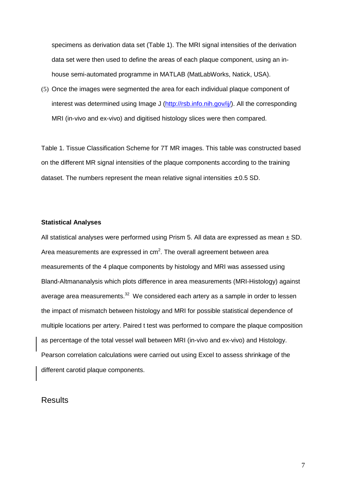specimens as derivation data set (Table 1). The MRI signal intensities of the derivation data set were then used to define the areas of each plaque component, using an inhouse semi-automated programme in MATLAB (MatLabWorks, Natick, USA).

(5) Once the images were segmented the area for each individual plaque component of interest was determined using Image J (http://rsb.info.nih.gov/ij/). All the corresponding MRI (in-vivo and ex-vivo) and digitised histology slices were then compared.

Table 1. Tissue Classification Scheme for 7T MR images. This table was constructed based on the different MR signal intensities of the plaque components according to the training dataset. The numbers represent the mean relative signal intensities  $\pm$  0.5 SD.

#### **Statistical Analyses**

All statistical analyses were performed using Prism 5. All data are expressed as mean  $\pm$  SD. Area measurements are expressed in cm<sup>2</sup>. The overall agreement between area measurements of the 4 plaque components by histology and MRI was assessed using Bland-Altmananalysis which plots difference in area measurements (MRI-Histology) against average area measurements. $32$  We considered each artery as a sample in order to lessen the impact of mismatch between histology and MRI for possible statistical dependence of multiple locations per artery. Paired t test was performed to compare the plaque composition as percentage of the total vessel wall between MRI (in-vivo and ex-vivo) and Histology. Pearson correlation calculations were carried out using Excel to assess shrinkage of the different carotid plaque components.

## **Results**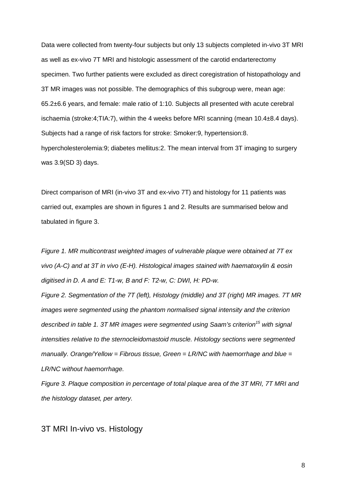Data were collected from twenty-four subjects but only 13 subjects completed in-vivo 3T MRI as well as ex-vivo 7T MRI and histologic assessment of the carotid endarterectomy specimen. Two further patients were excluded as direct coregistration of histopathology and 3T MR images was not possible. The demographics of this subgroup were, mean age: 65.2±6.6 years, and female: male ratio of 1:10. Subjects all presented with acute cerebral ischaemia (stroke:4;TIA:7), within the 4 weeks before MRI scanning (mean 10.4±8.4 days). Subjects had a range of risk factors for stroke: Smoker:9, hypertension:8. hypercholesterolemia:9; diabetes mellitus:2. The mean interval from 3T imaging to surgery was 3.9(SD 3) days.

Direct comparison of MRI (in-vivo 3T and ex-vivo 7T) and histology for 11 patients was carried out, examples are shown in figures 1 and 2. Results are summarised below and tabulated in figure 3.

Figure 1. MR multicontrast weighted images of vulnerable plaque were obtained at 7T ex vivo (A-C) and at 3T in vivo (E-H). Histological images stained with haematoxylin & eosin digitised in D. A and E: T1-w, B and F: T2-w, C: DWI, H: PD-w.

Figure 2. Segmentation of the 7T (left), Histology (middle) and 3T (right) MR images. 7T MR images were segmented using the phantom normalised signal intensity and the criterion described in table 1. 3T MR images were segmented using Saam's criterion<sup>15</sup> with signal intensities relative to the sternocleidomastoid muscle. Histology sections were segmented manually. Orange/Yellow = Fibrous tissue, Green =  $LR/NC$  with haemorrhage and blue = LR/NC without haemorrhage.

Figure 3. Plaque composition in percentage of total plaque area of the 3T MRI, 7T MRI and the histology dataset, per artery.

### 3T MRI In-vivo vs. Histology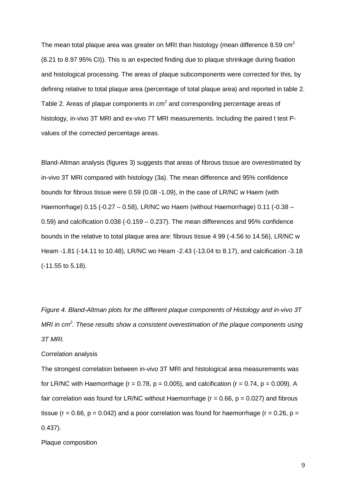The mean total plaque area was greater on MRI than histology (mean difference 8.59  $\text{cm}^2$ (8.21 to 8.97 95% CI)). This is an expected finding due to plaque shrinkage during fixation and histological processing. The areas of plaque subcomponents were corrected for this, by defining relative to total plaque area (percentage of total plaque area) and reported in table 2. Table 2. Areas of plaque components in cm<sup>2</sup> and corresponding percentage areas of histology, in-vivo 3T MRI and ex-vivo 7T MRI measurements. Including the paired t test Pvalues of the corrected percentage areas.

Bland-Altman analysis (figures 3) suggests that areas of fibrous tissue are overestimated by in-vivo 3T MRI compared with histology (3a). The mean difference and 95% confidence bounds for fibrous tissue were 0.59 (0.08 -1.09), in the case of LR/NC w Haem (with Haemorrhage) 0.15 (-0.27 – 0.58), LR/NC wo Haem (without Haemorrhage) 0.11 (-0.38 – 0.59) and calcification 0.038 (-0.159 – 0.237). The mean differences and 95% confidence bounds in the relative to total plaque area are: fibrous tissue 4.99 (-4.56 to 14.56), LR/NC w Heam -1.81 (-14.11 to 10.48), LR/NC wo Heam -2.43 (-13.04 to 8.17), and calcification -3.18 (-11.55 to 5.18).

Figure 4. Bland-Altman plots for the different plaque components of Histology and in-vivo 3T MRI in  $cm<sup>2</sup>$ . These results show a consistent overestimation of the plaque components using 3T MRI.

#### Correlation analysis

The strongest correlation between in-vivo 3T MRI and histological area measurements was for LR/NC with Haemorrhage ( $r = 0.78$ ,  $p = 0.005$ ), and calcification ( $r = 0.74$ ,  $p = 0.009$ ). A fair correlation was found for LR/NC without Haemorrhage ( $r = 0.66$ ,  $p = 0.027$ ) and fibrous tissue ( $r = 0.66$ ,  $p = 0.042$ ) and a poor correlation was found for haemorrhage ( $r = 0.26$ ,  $p =$ 0.437).

Plaque composition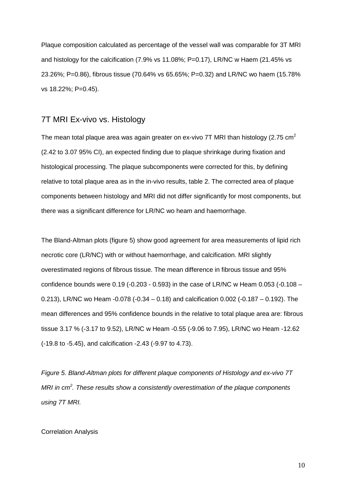Plaque composition calculated as percentage of the vessel wall was comparable for 3T MRI and histology for the calcification (7.9% vs 11.08%; P=0.17), LR/NC w Haem (21.45% vs 23.26%; P=0.86), fibrous tissue (70.64% vs 65.65%; P=0.32) and LR/NC wo haem (15.78% vs 18.22%; P=0.45).

### 7T MRI Ex-vivo vs. Histology

The mean total plaque area was again greater on ex-vivo 7T MRI than histology (2.75  $\text{cm}^2$ ) (2.42 to 3.07 95% CI), an expected finding due to plaque shrinkage during fixation and histological processing. The plaque subcomponents were corrected for this, by defining relative to total plaque area as in the in-vivo results, table 2. The corrected area of plaque components between histology and MRI did not differ significantly for most components, but there was a significant difference for LR/NC wo heam and haemorrhage.

The Bland-Altman plots (figure 5) show good agreement for area measurements of lipid rich necrotic core (LR/NC) with or without haemorrhage, and calcification. MRI slightly overestimated regions of fibrous tissue. The mean difference in fibrous tissue and 95% confidence bounds were 0.19 (-0.203 - 0.593) in the case of LR/NC w Heam 0.053 (-0.108 – 0.213), LR/NC wo Heam -0.078 (-0.34 – 0.18) and calcification 0.002 (-0.187 – 0.192). The mean differences and 95% confidence bounds in the relative to total plaque area are: fibrous tissue 3.17 % (-3.17 to 9.52), LR/NC w Heam -0.55 (-9.06 to 7.95), LR/NC wo Heam -12.62 (-19.8 to -5.45), and calcification -2.43 (-9.97 to 4.73).

Figure 5. Bland-Altman plots for different plaque components of Histology and ex-vivo 7T MRI in  $cm<sup>2</sup>$ . These results show a consistently overestimation of the plaque components using 7T MRI.

#### Correlation Analysis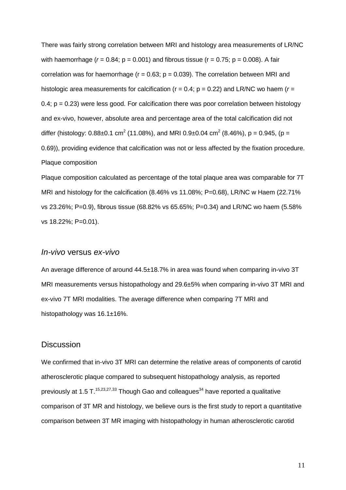There was fairly strong correlation between MRI and histology area measurements of LR/NC with haemorrhage ( $r = 0.84$ ;  $p = 0.001$ ) and fibrous tissue ( $r = 0.75$ ;  $p = 0.008$ ). A fair correlation was for haemorrhage ( $r = 0.63$ ;  $p = 0.039$ ). The correlation between MRI and histologic area measurements for calcification ( $r = 0.4$ ;  $p = 0.22$ ) and LR/NC wo haem ( $r =$ 0.4;  $p = 0.23$ ) were less good. For calcification there was poor correlation between histology and ex-vivo, however, absolute area and percentage area of the total calcification did not differ (histology: 0.88±0.1 cm<sup>2</sup> (11.08%), and MRI 0.9±0.04 cm<sup>2</sup> (8.46%), p = 0.945, (p = 0.69)), providing evidence that calcification was not or less affected by the fixation procedure. Plaque composition

Plaque composition calculated as percentage of the total plaque area was comparable for 7T MRI and histology for the calcification (8.46% vs 11.08%; P=0.68), LR/NC w Haem (22.71% vs 23.26%; P=0.9), fibrous tissue (68.82% vs 65.65%; P=0.34) and LR/NC wo haem (5.58% vs 18.22%; P=0.01).

### In-vivo versus ex-vivo

An average difference of around 44.5±18.7% in area was found when comparing in-vivo 3T MRI measurements versus histopathology and 29.6±5% when comparing in-vivo 3T MRI and ex-vivo 7T MRI modalities. The average difference when comparing 7T MRI and histopathology was 16.1±16%.

### **Discussion**

We confirmed that in-vivo 3T MRI can determine the relative areas of components of carotid atherosclerotic plaque compared to subsequent histopathology analysis, as reported previously at 1.5 T.<sup>15,23,27,33</sup> Though Gao and colleagues<sup>34</sup> have reported a qualitative comparison of 3T MR and histology, we believe ours is the first study to report a quantitative comparison between 3T MR imaging with histopathology in human atherosclerotic carotid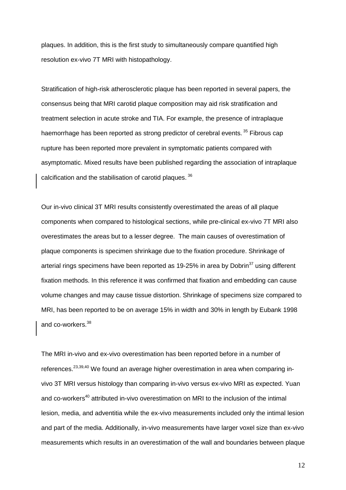plaques. In addition, this is the first study to simultaneously compare quantified high resolution ex-vivo 7T MRI with histopathology.

Stratification of high-risk atherosclerotic plaque has been reported in several papers, the consensus being that MRI carotid plaque composition may aid risk stratification and treatment selection in acute stroke and TIA. For example, the presence of intraplaque haemorrhage has been reported as strong predictor of cerebral events.<sup>35</sup> Fibrous cap rupture has been reported more prevalent in symptomatic patients compared with asymptomatic. Mixed results have been published regarding the association of intraplaque calcification and the stabilisation of carotid plaques.<sup>36</sup>

Our in-vivo clinical 3T MRI results consistently overestimated the areas of all plaque components when compared to histological sections, while pre-clinical ex-vivo 7T MRI also overestimates the areas but to a lesser degree. The main causes of overestimation of plaque components is specimen shrinkage due to the fixation procedure. Shrinkage of arterial rings specimens have been reported as 19-25% in area by Dobrin $37$  using different fixation methods. In this reference it was confirmed that fixation and embedding can cause volume changes and may cause tissue distortion. Shrinkage of specimens size compared to MRI, has been reported to be on average 15% in width and 30% in length by Eubank 1998 and co-workers.<sup>38</sup>

The MRI in-vivo and ex-vivo overestimation has been reported before in a number of references.<sup>23,39,40</sup> We found an average higher overestimation in area when comparing invivo 3T MRI versus histology than comparing in-vivo versus ex-vivo MRI as expected. Yuan and co-workers<sup>40</sup> attributed in-vivo overestimation on MRI to the inclusion of the intimal lesion, media, and adventitia while the ex-vivo measurements included only the intimal lesion and part of the media. Additionally, in-vivo measurements have larger voxel size than ex-vivo measurements which results in an overestimation of the wall and boundaries between plaque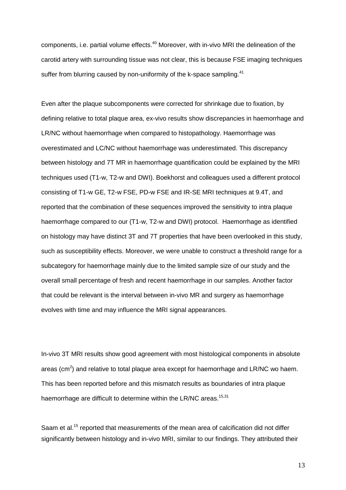components, i.e. partial volume effects.<sup>40</sup> Moreover, with in-vivo MRI the delineation of the carotid artery with surrounding tissue was not clear, this is because FSE imaging techniques suffer from blurring caused by non-uniformity of the k-space sampling.<sup>41</sup>

Even after the plaque subcomponents were corrected for shrinkage due to fixation, by defining relative to total plaque area, ex-vivo results show discrepancies in haemorrhage and LR/NC without haemorrhage when compared to histopathology. Haemorrhage was overestimated and LC/NC without haemorrhage was underestimated. This discrepancy between histology and 7T MR in haemorrhage quantification could be explained by the MRI techniques used (T1-w, T2-w and DWI). Boekhorst and colleagues used a different protocol consisting of T1-w GE, T2-w FSE, PD-w FSE and IR-SE MRI techniques at 9.4T, and reported that the combination of these sequences improved the sensitivity to intra plaque haemorrhage compared to our (T1-w, T2-w and DWI) protocol. Haemorrhage as identified on histology may have distinct 3T and 7T properties that have been overlooked in this study, such as susceptibility effects. Moreover, we were unable to construct a threshold range for a subcategory for haemorrhage mainly due to the limited sample size of our study and the overall small percentage of fresh and recent haemorrhage in our samples. Another factor that could be relevant is the interval between in-vivo MR and surgery as haemorrhage evolves with time and may influence the MRI signal appearances.

In-vivo 3T MRI results show good agreement with most histological components in absolute areas (cm<sup>2</sup>) and relative to total plaque area except for haemorrhage and LR/NC wo haem. This has been reported before and this mismatch results as boundaries of intra plaque haemorrhage are difficult to determine within the LR/NC areas.<sup>15,31</sup>

Saam et al.<sup>15</sup> reported that measurements of the mean area of calcification did not differ significantly between histology and in-vivo MRI, similar to our findings. They attributed their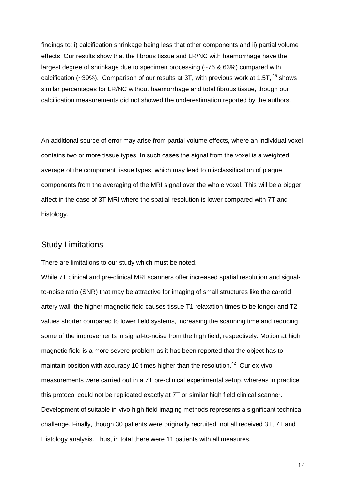findings to: i) calcification shrinkage being less that other components and ii) partial volume effects. Our results show that the fibrous tissue and LR/NC with haemorrhage have the largest degree of shrinkage due to specimen processing (~76 & 63%) compared with calcification ( $\sim$ 39%). Comparison of our results at 3T, with previous work at 1.5T,  $15$  shows similar percentages for LR/NC without haemorrhage and total fibrous tissue, though our calcification measurements did not showed the underestimation reported by the authors.

An additional source of error may arise from partial volume effects, where an individual voxel contains two or more tissue types. In such cases the signal from the voxel is a weighted average of the component tissue types, which may lead to misclassification of plaque components from the averaging of the MRI signal over the whole voxel. This will be a bigger affect in the case of 3T MRI where the spatial resolution is lower compared with 7T and histology.

### Study Limitations

There are limitations to our study which must be noted.

While 7T clinical and pre-clinical MRI scanners offer increased spatial resolution and signalto-noise ratio (SNR) that may be attractive for imaging of small structures like the carotid artery wall, the higher magnetic field causes tissue T1 relaxation times to be longer and T2 values shorter compared to lower field systems, increasing the scanning time and reducing some of the improvements in signal-to-noise from the high field, respectively. Motion at high magnetic field is a more severe problem as it has been reported that the object has to maintain position with accuracy 10 times higher than the resolution.<sup>42</sup> Our ex-vivo measurements were carried out in a 7T pre-clinical experimental setup, whereas in practice this protocol could not be replicated exactly at 7T or similar high field clinical scanner. Development of suitable in-vivo high field imaging methods represents a significant technical challenge. Finally, though 30 patients were originally recruited, not all received 3T, 7T and Histology analysis. Thus, in total there were 11 patients with all measures.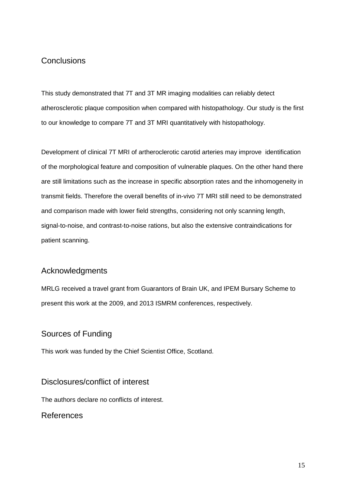# **Conclusions**

This study demonstrated that 7T and 3T MR imaging modalities can reliably detect atherosclerotic plaque composition when compared with histopathology. Our study is the first to our knowledge to compare 7T and 3T MRI quantitatively with histopathology.

Development of clinical 7T MRI of artheroclerotic carotid arteries may improve identification of the morphological feature and composition of vulnerable plaques. On the other hand there are still limitations such as the increase in specific absorption rates and the inhomogeneity in transmit fields. Therefore the overall benefits of in-vivo 7T MRI still need to be demonstrated and comparison made with lower field strengths, considering not only scanning length, signal-to-noise, and contrast-to-noise rations, but also the extensive contraindications for patient scanning.

# Acknowledgments

MRLG received a travel grant from Guarantors of Brain UK, and IPEM Bursary Scheme to present this work at the 2009, and 2013 ISMRM conferences, respectively.

## Sources of Funding

This work was funded by the Chief Scientist Office, Scotland.

# Disclosures/conflict of interest

The authors declare no conflicts of interest.

References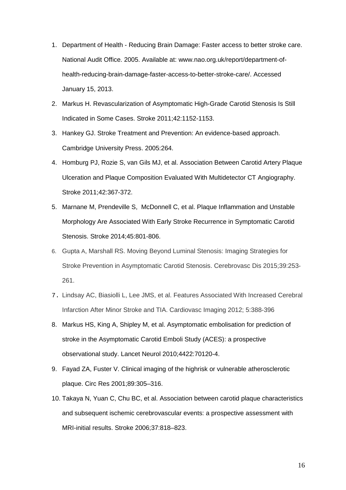- 1. Department of Health Reducing Brain Damage: Faster access to better stroke care. National Audit Office. 2005. Available at: www.nao.org.uk/report/department-ofhealth-reducing-brain-damage-faster-access-to-better-stroke-care/. Accessed January 15, 2013.
- 2. Markus H. Revascularization of Asymptomatic High-Grade Carotid Stenosis Is Still Indicated in Some Cases. Stroke 2011;42:1152-1153.
- 3. Hankey GJ. Stroke Treatment and Prevention: An evidence-based approach. Cambridge University Press. 2005:264.
- 4. Homburg PJ, Rozie S, van Gils MJ, et al. Association Between Carotid Artery Plaque Ulceration and Plaque Composition Evaluated With Multidetector CT Angiography. Stroke 2011;42:367-372.
- 5. Marnane M, Prendeville S, McDonnell C, et al. Plaque Inflammation and Unstable Morphology Are Associated With Early Stroke Recurrence in Symptomatic Carotid Stenosis. Stroke 2014;45:801-806.
- 6. Gupta A, Marshall RS. Moving Beyond Luminal Stenosis: Imaging Strategies for Stroke Prevention in Asymptomatic Carotid Stenosis. Cerebrovasc Dis 2015;39:253- 261.
- 7. Lindsay AC, Biasiolli L, Lee JMS, et al. Features Associated With Increased Cerebral Infarction After Minor Stroke and TIA. Cardiovasc Imaging 2012; 5:388-396
- 8. Markus HS, King A, Shipley M, et al. Asymptomatic embolisation for prediction of stroke in the Asymptomatic Carotid Emboli Study (ACES): a prospective observational study. Lancet Neurol 2010;4422:70120-4.
- 9. Fayad ZA, Fuster V. Clinical imaging of the highrisk or vulnerable atherosclerotic plaque. Circ Res 2001;89:305–316.
- 10. Takaya N, Yuan C, Chu BC, et al. Association between carotid plaque characteristics and subsequent ischemic cerebrovascular events: a prospective assessment with MRI-initial results. Stroke 2006;37:818–823.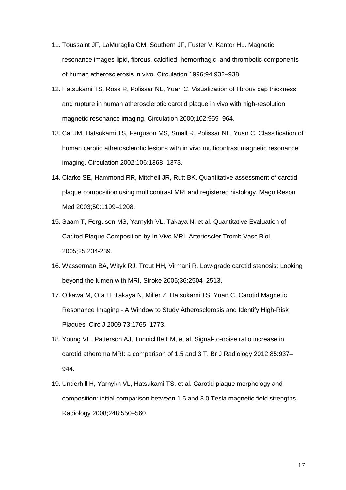- 11. Toussaint JF, LaMuraglia GM, Southern JF, Fuster V, Kantor HL. Magnetic resonance images lipid, fibrous, calcified, hemorrhagic, and thrombotic components of human atherosclerosis in vivo. Circulation 1996;94:932–938.
- 12. Hatsukami TS, Ross R, Polissar NL, Yuan C. Visualization of fibrous cap thickness and rupture in human atherosclerotic carotid plaque in vivo with high-resolution magnetic resonance imaging. Circulation 2000;102:959–964.
- 13. Cai JM, Hatsukami TS, Ferguson MS, Small R, Polissar NL, Yuan C. Classification of human carotid atherosclerotic lesions with in vivo multicontrast magnetic resonance imaging. Circulation 2002;106:1368–1373.
- 14. Clarke SE, Hammond RR, Mitchell JR, Rutt BK. Quantitative assessment of carotid plaque composition using multicontrast MRI and registered histology. Magn Reson Med 2003;50:1199–1208.
- 15. Saam T, Ferguson MS, Yarnykh VL, Takaya N, et al. Quantitative Evaluation of Caritod Plaque Composition by In Vivo MRI. Arterioscler Tromb Vasc Biol 2005;25:234-239.
- 16. Wasserman BA, Wityk RJ, Trout HH, Virmani R. Low-grade carotid stenosis: Looking beyond the lumen with MRI. Stroke 2005;36:2504–2513.
- 17. Oikawa M, Ota H, Takaya N, Miller Z, Hatsukami TS, Yuan C. Carotid Magnetic Resonance Imaging - A Window to Study Atherosclerosis and Identify High-Risk Plaques. Circ J 2009;73:1765–1773.
- 18. Young VE, Patterson AJ, Tunnicliffe EM, et al. Signal-to-noise ratio increase in carotid atheroma MRI: a comparison of 1.5 and 3 T. Br J Radiology 2012;85:937– 944.
- 19. Underhill H, Yarnykh VL, Hatsukami TS, et al. Carotid plaque morphology and composition: initial comparison between 1.5 and 3.0 Tesla magnetic field strengths. Radiology 2008;248:550–560.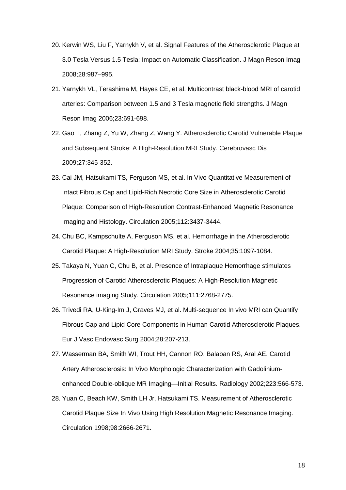- 20. Kerwin WS, Liu F, Yarnykh V, et al. Signal Features of the Atherosclerotic Plaque at 3.0 Tesla Versus 1.5 Tesla: Impact on Automatic Classification. J Magn Reson Imag 2008;28:987–995.
- 21. Yarnykh VL, Terashima M, Hayes CE, et al. Multicontrast black-blood MRI of carotid arteries: Comparison between 1.5 and 3 Tesla magnetic field strengths. J Magn Reson Imag 2006;23:691-698.
- 22. Gao T, Zhang Z, Yu W, Zhang Z, Wang Y. Atherosclerotic Carotid Vulnerable Plaque and Subsequent Stroke: A High-Resolution MRI Study. Cerebrovasc Dis 2009;27:345-352.
- 23. Cai JM, Hatsukami TS, Ferguson MS, et al. In Vivo Quantitative Measurement of Intact Fibrous Cap and Lipid-Rich Necrotic Core Size in Atherosclerotic Carotid Plaque: Comparison of High-Resolution Contrast-Enhanced Magnetic Resonance Imaging and Histology. Circulation 2005;112:3437-3444.
- 24. Chu BC, Kampschulte A, Ferguson MS, et al. Hemorrhage in the Atherosclerotic Carotid Plaque: A High-Resolution MRI Study. Stroke 2004;35:1097-1084.
- 25. Takaya N, Yuan C, Chu B, et al. Presence of Intraplaque Hemorrhage stimulates Progression of Carotid Atherosclerotic Plaques: A High-Resolution Magnetic Resonance imaging Study. Circulation 2005;111:2768-2775.
- 26. Trivedi RA, U-King-Im J, Graves MJ, et al. Multi-sequence In vivo MRI can Quantify Fibrous Cap and Lipid Core Components in Human Carotid Atherosclerotic Plaques. Eur J Vasc Endovasc Surg 2004;28:207-213.
- 27. Wasserman BA, Smith WI, Trout HH, Cannon RO, Balaban RS, Aral AE. Carotid Artery Atherosclerosis: In Vivo Morphologic Characterization with Gadoliniumenhanced Double-oblique MR Imaging—Initial Results. Radiology 2002;223:566-573.
- 28. Yuan C, Beach KW, Smith LH Jr, Hatsukami TS. Measurement of Atherosclerotic Carotid Plaque Size In Vivo Using High Resolution Magnetic Resonance Imaging. Circulation 1998;98:2666-2671.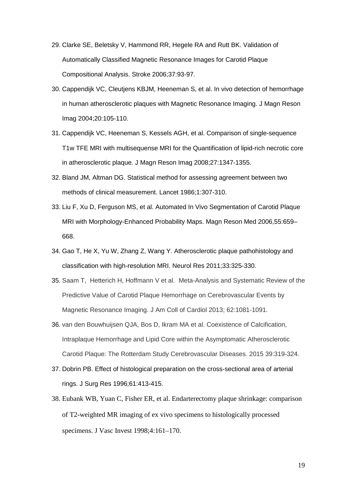- 29. Clarke SE, Beletsky V, Hammond RR, Hegele RA and Rutt BK. Validation of Automatically Classified Magnetic Resonance Images for Carotid Plaque Compositional Analysis. Stroke 2006;37:93-97.
- 30. Cappendijk VC, Cleutjens KBJM, Heeneman S, et al. In vivo detection of hemorrhage in human atherosclerotic plaques with Magnetic Resonance Imaging. J Magn Reson Imag 2004;20:105-110.
- 31. Cappendijk VC, Heeneman S, Kessels AGH, et al. Comparison of single-sequence T1w TFE MRI with multisequense MRI for the Quantification of lipid-rich necrotic core in atherosclerotic plaque. J Magn Reson Imag 2008;27:1347-1355.
- 32. Bland JM, Altman DG. Statistical method for assessing agreement between two methods of clinical measurement. Lancet 1986;1:307-310.
- 33. Liu F, Xu D, Ferguson MS, et al. Automated In Vivo Segmentation of Carotid Plaque MRI with Morphology-Enhanced Probability Maps. Magn Reson Med 2006,55:659– 668.
- 34. Gao T, He X, Yu W, Zhang Z, Wang Y. Atherosclerotic plaque pathohistology and classification with high-resolution MRI. Neurol Res 2011;33:325-330.
- 35. Saam T, Hetterich H, Hoffmann V et al. Meta-Analysis and Systematic Review of the Predictive Value of Carotid Plaque Hemorrhage on Cerebrovascular Events by Magnetic Resonance Imaging. J Am Coll of Cardiol 2013; 62:1081-1091.
- 36. van den Bouwhuijsen QJA, Bos D, Ikram MA et al. Coexistence of Calcification, Intraplaque Hemorrhage and Lipid Core within the Asymptomatic Atherosclerotic Carotid Plaque: The Rotterdam Study Cerebrovascular Diseases. 2015 39:319-324.
- 37. Dobrin PB. Effect of histological preparation on the cross-sectional area of arterial rings. J Surg Res 1996;61:413-415.
- 38. Eubank WB, Yuan C, Fisher ER, et al. Endarterectomy plaque shrinkage: comparison of T2-weighted MR imaging of ex vivo specimens to histologically processed specimens. J Vasc Invest 1998;4:161–170.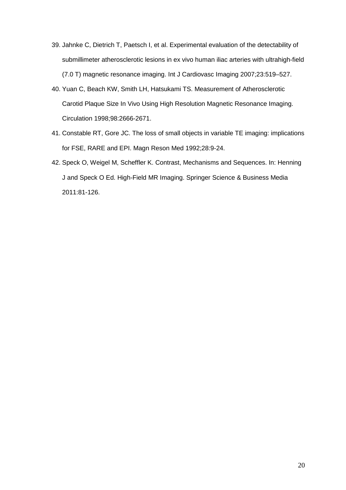- 39. Jahnke C, Dietrich T, Paetsch I, et al. Experimental evaluation of the detectability of submillimeter atherosclerotic lesions in ex vivo human iliac arteries with ultrahigh-field (7.0 T) magnetic resonance imaging. Int J Cardiovasc Imaging 2007;23:519–527.
- 40. Yuan C, Beach KW, Smith LH, Hatsukami TS. Measurement of Atherosclerotic Carotid Plaque Size In Vivo Using High Resolution Magnetic Resonance Imaging. Circulation 1998;98:2666-2671.
- 41. Constable RT, Gore JC. The loss of small objects in variable TE imaging: implications for FSE, RARE and EPI. Magn Reson Med 1992;28:9-24.
- 42. Speck O, Weigel M, Scheffler K. Contrast, Mechanisms and Sequences. In: Henning J and Speck O Ed. High-Field MR Imaging. Springer Science & Business Media 2011:81-126.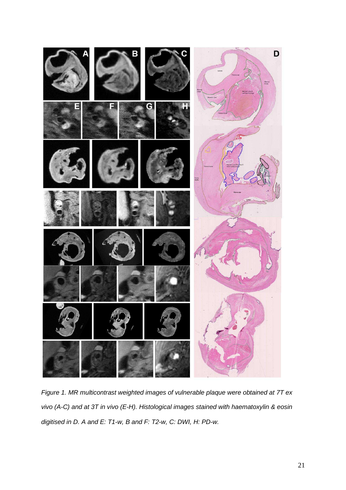

Figure 1. MR multicontrast weighted images of vulnerable plaque were obtained at 7T ex vivo (A-C) and at 3T in vivo (E-H). Histological images stained with haematoxylin & eosin digitised in D. A and E: T1-w, B and F: T2-w, C: DWI, H: PD-w.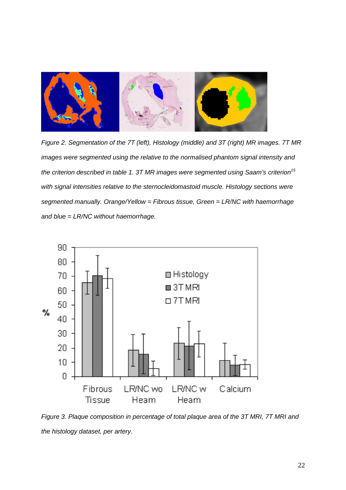

Figure 2. Segmentation of the 7T (left), Histology (middle) and 3T (right) MR images. 7T MR images were segmented using the relative to the normalised phantom signal intensity and the criterion described in table 1. 3T MR images were segmented using Saam's criterion<sup>15</sup> with signal intensities relative to the sternocleidomastoid muscle. Histology sections were segmented manually. Orange/Yellow = Fibrous tissue, Green = LR/NC with haemorrhage and blue = LR/NC without haemorrhage.



Figure 3. Plaque composition in percentage of total plaque area of the 3T MRI, 7T MRI and the histology dataset, per artery.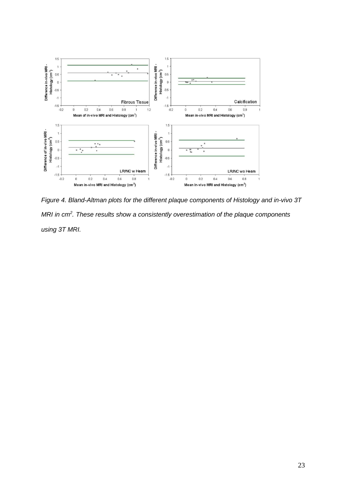

Figure 4. Bland-Altman plots for the different plaque components of Histology and in-vivo 3T MRI in  $cm<sup>2</sup>$ . These results show a consistently overestimation of the plaque components using 3T MRI.